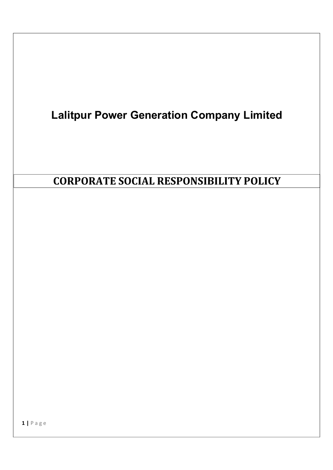# Lalitpur Power Generation Company Limited CORPORATE SOCIAL RESPONSIBILITY POLICY

1 | P a g e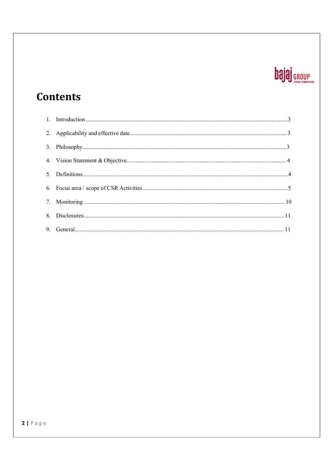# **bajaj** GROUP

# **Contents**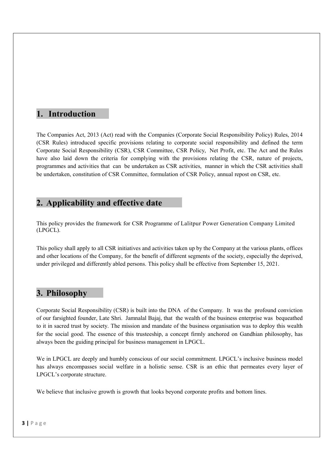### 1. Introduction

The Companies Act, 2013 (Act) read with the Companies (Corporate Social Responsibility Policy) Rules, 2014 (CSR Rules) introduced specific provisions relating to corporate social responsibility and defined the term Corporate Social Responsibility (CSR), CSR Committee, CSR Policy, Net Profit, etc. The Act and the Rules have also laid down the criteria for complying with the provisions relating the CSR, nature of projects, programmes and activities that can be undertaken as CSR activities, manner in which the CSR activities shall be undertaken, constitution of CSR Committee, formulation of CSR Policy, annual repost on CSR, etc.

### 2. Applicability and effective date

This policy provides the framework for CSR Programme of Lalitpur Power Generation Company Limited (LPGCL).

This policy shall apply to all CSR initiatives and activities taken up by the Company at the various plants, offices and other locations of the Company, for the benefit of different segments of the society, especially the deprived, under privileged and differently abled persons. This policy shall be effective from September 15, 2021.

### 3. Philosophy

Corporate Social Responsibility (CSR) is built into the DNA of the Company. It was the profound conviction of our farsighted founder, Late Shri. Jamnalal Bajaj, that the wealth of the business enterprise was bequeathed to it in sacred trust by society. The mission and mandate of the business organisation was to deploy this wealth for the social good. The essence of this trusteeship, a concept firmly anchored on Gandhian philosophy, has always been the guiding principal for business management in LPGCL.

We in LPGCL are deeply and humbly conscious of our social commitment. LPGCL's inclusive business model has always encompasses social welfare in a holistic sense. CSR is an ethic that permeates every layer of LPGCL's corporate structure.

We believe that inclusive growth is growth that looks beyond corporate profits and bottom lines.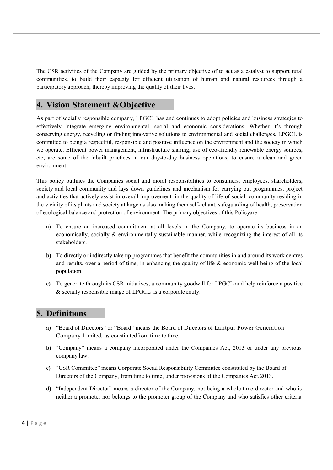The CSR activities of the Company are guided by the primary objective of to act as a catalyst to support rural communities, to build their capacity for efficient utilisation of human and natural resources through a participatory approach, thereby improving the quality of their lives.

### 4. Vision Statement &Objective

As part of socially responsible company, LPGCL has and continues to adopt policies and business strategies to effectively integrate emerging environmental, social and economic considerations. Whether it's through conserving energy, recycling or finding innovative solutions to environmental and social challenges, LPGCL is committed to being a respectful, responsible and positive influence on the environment and the society in which we operate. Efficient power management, infrastructure sharing, use of eco-friendly renewable energy sources, etc; are some of the inbuilt practices in our day-to-day business operations, to ensure a clean and green environment.

This policy outlines the Companies social and moral responsibilities to consumers, employees, shareholders, society and local community and lays down guidelines and mechanism for carrying out programmes, project and activities that actively assist in overall improvement in the quality of life of social community residing in the vicinity of its plants and society at large as also making them self-reliant, safeguarding of health, preservation of ecological balance and protection of environment. The primary objectives of this Policyare:-

- a) To ensure an increased commitment at all levels in the Company, to operate its business in an economically, socially & environmentally sustainable manner, while recognizing the interest of all its stakeholders.
- b) To directly or indirectly take up programmes that benefit the communities in and around its work centres and results, over a period of time, in enhancing the quality of life & economic well-being of the local population.
- c) To generate through its CSR initiatives, a community goodwill for LPGCL and help reinforce a positive & socially responsible image of LPGCL as a corporate entity.

### 5. Definitions

- a) "Board of Directors" or "Board" means the Board of Directors of Lalitpur Power Generation Company Limited, as constituted from time to time.
- b) "Company" means a company incorporated under the Companies Act, 2013 or under any previous company law.
- c) "CSR Committee" means Corporate Social Responsibility Committee constituted by the Board of Directors of the Company, from time to time, under provisions of the Companies Act, 2013.
- d) "Independent Director" means a director of the Company, not being a whole time director and who is neither a promoter nor belongs to the promoter group of the Company and who satisfies other criteria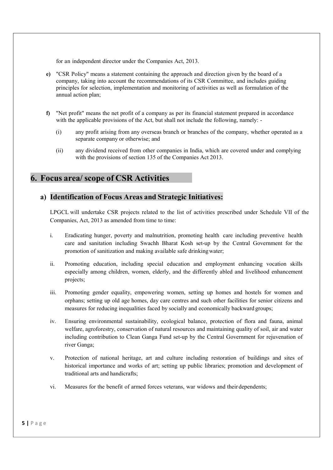for an independent director under the Companies Act, 2013.

- e) "CSR Policy" means a statement containing the approach and direction given by the board of a company, taking into account the recommendations of its CSR Committee, and includes guiding principles for selection, implementation and monitoring of activities as well as formulation of the annual action plan;
- f) "Net profit" means the net profit of a company as per its financial statement prepared in accordance with the applicable provisions of the Act, but shall not include the following, namely: -
	- (i) any profit arising from any overseas branch or branches of the company, whether operated as a separate company or otherwise; and
	- (ii) any dividend received from other companies in India, which are covered under and complying with the provisions of section 135 of the Companies Act 2013.

### 6. Focus area/ scope of CSR Activities

### a) Identification of Focus Areas and Strategic Initiatives:

LPGCL will undertake CSR projects related to the list of activities prescribed under Schedule VII of the Companies, Act, 2013 as amended from time to time:

- i. Eradicating hunger, poverty and malnutrition, promoting health care including preventive health care and sanitation including Swachh Bharat Kosh set-up by the Central Government for the promotion of sanitization and making available safe drinking water;
- ii. Promoting education, including special education and employment enhancing vocation skills especially among children, women, elderly, and the differently abled and livelihood enhancement projects;
- iii. Promoting gender equality, empowering women, setting up homes and hostels for women and orphans; setting up old age homes, day care centres and such other facilities for senior citizens and measures for reducing inequalities faced by socially and economically backward groups;
- iv. Ensuring environmental sustainability, ecological balance, protection of flora and fauna, animal welfare, agroforestry, conservation of natural resources and maintaining quality of soil, air and water including contribution to Clean Ganga Fund set-up by the Central Government for rejuvenation of river Ganga;
- v. Protection of national heritage, art and culture including restoration of buildings and sites of historical importance and works of art; setting up public libraries; promotion and development of traditional arts and handicrafts;
- vi. Measures for the benefit of armed forces veterans, war widows and their dependents;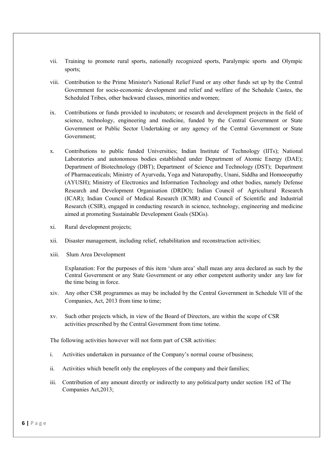- vii. Training to promote rural sports, nationally recognized sports, Paralympic sports and Olympic sports;
- viii. Contribution to the Prime Minister's National Relief Fund or any other funds set up by the Central Government for socio-economic development and relief and welfare of the Schedule Castes, the Scheduled Tribes, other backward classes, minorities and women;
- ix. Contributions or funds provided to incubators; or research and development projects in the field of science, technology, engineering and medicine, funded by the Central Government or State Government or Public Sector Undertaking or any agency of the Central Government or State Government;
- x. Contributions to public funded Universities; Indian Institute of Technology (IITs); National Laboratories and autonomous bodies established under Department of Atomic Energy (DAE); Department of Biotechnology (DBT); Department of Science and Technology (DST); Department of Pharmaceuticals; Ministry of Ayurveda, Yoga and Naturopathy, Unani, Siddha and Homoeopathy (AYUSH); Ministry of Electronics and Information Technology and other bodies, namely Defense Research and Development Organisation (DRDO); Indian Council of Agricultural Research (ICAR); Indian Council of Medical Research (ICMR) and Council of Scientific and Industrial Research (CSIR), engaged in conducting research in science, technology, engineering and medicine aimed at promoting Sustainable Development Goals (SDGs).
- xi. Rural development projects;
- xii. Disaster management, including relief, rehabilitation and reconstruction activities;
- xiii. Slum Area Development

Explanation: For the purposes of this item 'slum area' shall mean any area declared as such by the Central Government or any State Government or any other competent authority under any law for the time being in force.

- xiv. Any other CSR programmes as may be included by the Central Government in Schedule VII of the Companies, Act, 2013 from time to time;
- xv. Such other projects which, in view of the Board of Directors, are within the scope of CSR activities prescribed by the Central Government from time totime.

The following activities however will not form part of CSR activities:

- i. Activities undertaken in pursuance of the Company's normal course of business;
- ii. Activities which benefit only the employees of the company and their families;
- iii. Contribution of any amount directly or indirectly to any political party under section 182 of The Companies Act,2013;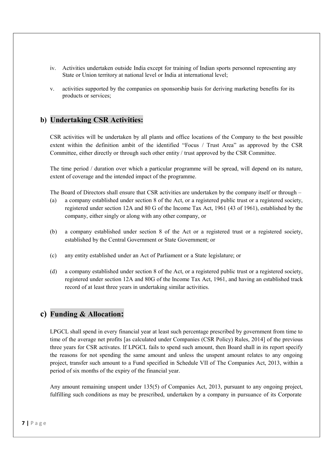- iv. Activities undertaken outside India except for training of Indian sports personnel representing any State or Union territory at national level or India at international level;
- v. activities supported by the companies on sponsorship basis for deriving marketing benefits for its products or services;

### b) Undertaking CSR Activities:

CSR activities will be undertaken by all plants and office locations of the Company to the best possible extent within the definition ambit of the identified "Focus / Trust Area" as approved by the CSR Committee, either directly or through such other entity / trust approved by the CSR Committee.

The time period / duration over which a particular programme will be spread, will depend on its nature, extent of coverage and the intended impact of the programme.

The Board of Directors shall ensure that CSR activities are undertaken by the company itself or through –

- (a) a company established under section 8 of the Act, or a registered public trust or a registered society, registered under section 12A and 80 G of the Income Tax Act, 1961 (43 of 1961), established by the company, either singly or along with any other company, or
- (b) a company established under section 8 of the Act or a registered trust or a registered society, established by the Central Government or State Government; or
- (c) any entity established under an Act of Parliament or a State legislature; or
- (d) a company established under section 8 of the Act, or a registered public trust or a registered society, registered under section 12A and 80G of the Income Tax Act, 1961, and having an established track record of at least three years in undertaking similar activities.

### c) Funding & Allocation:

LPGCL shall spend in every financial year at least such percentage prescribed by government from time to time of the average net profits [as calculated under Companies (CSR Policy) Rules, 2014] of the previous three years for CSR activates. If LPGCL fails to spend such amount, then Board shall in its report specify the reasons for not spending the same amount and unless the unspent amount relates to any ongoing project, transfer such amount to a Fund specified in Schedule VII of The Companies Act, 2013, within a period of six months of the expiry of the financial year.

Any amount remaining unspent under 135(5) of Companies Act, 2013, pursuant to any ongoing project, fulfilling such conditions as may be prescribed, undertaken by a company in pursuance of its Corporate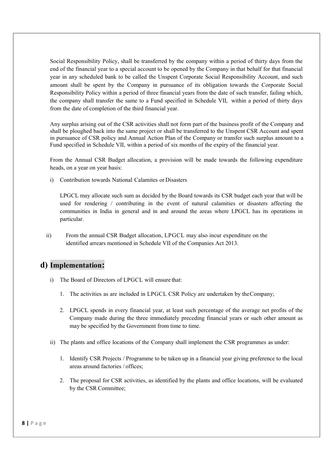Social Responsibility Policy, shall be transferred by the company within a period of thirty days from the end of the financial year to a special account to be opened by the Company in that behalf for that financial year in any scheduled bank to be called the Unspent Corporate Social Responsibility Account, and such amount shall be spent by the Company in pursuance of its obligation towards the Corporate Social Responsibility Policy within a period of three financial years from the date of such transfer, failing which, the company shall transfer the same to a Fund specified in Schedule VII, within a period of thirty days from the date of completion of the third financial year.

Any surplus arising out of the CSR activities shall not form part of the business profit of the Company and shall be ploughed back into the same project or shall be transferred to the Unspent CSR Account and spent in pursuance of CSR policy and Annual Action Plan of the Company or transfer such surplus amount to a Fund specified in Schedule VII, within a period of six months of the expiry of the financial year.

From the Annual CSR Budget allocation, a provision will be made towards the following expenditure heads, on a year on year basis:

i) Contribution towards National Calamites or Disasters

LPGCL may allocate such sum as decided by the Board towards its CSR budget each year that will be used for rendering / contributing in the event of natural calamities or disasters affecting the communities in India in general and in and around the areas where LPGCL has its operations in particular.

ii) From the annual CSR Budget allocation, LPGCL may also incur expenditure on the identified arrears mentioned in Schedule VII of the Companies Act 2013.

### d) Implementation:

- i) The Board of Directors of LPGCL will ensure that:
	- 1. The activities as are included in LPGCL CSR Policy are undertaken by the Company;
	- 2. LPGCL spends in every financial year, at least such percentage of the average net profits of the Company made during the three immediately preceding financial years or such other amount as may be specified by the Government from time to time.
- ii) The plants and office locations of the Company shall implement the CSR programmes as under:
	- 1. Identify CSR Projects / Programme to be taken up in a financial year giving preference to the local areas around factories / offices;
	- 2. The proposal for CSR activities, as identified by the plants and office locations, will be evaluated by the CSR Committee;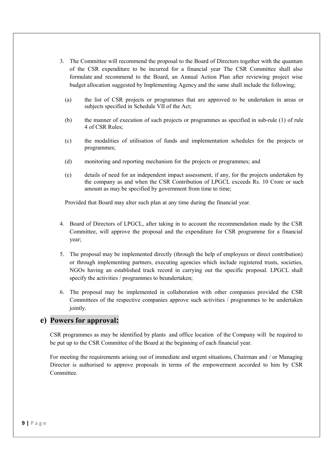- 3. The Committee will recommend the proposal to the Board of Directors together with the quantum of the CSR expenditure to be incurred for a financial year The CSR Committee shall also formulate and recommend to the Board, an Annual Action Plan after reviewing project wise budget allocation suggested by Implementing Agency and the same shall include the following;
	- (a) the list of CSR projects or programmes that are approved to be undertaken in areas or subjects specified in Schedule VII of the Act;
	- (b) the manner of execution of such projects or programmes as specified in sub-rule (1) of rule 4 of CSR Rules;
	- (c) the modalities of utilisation of funds and implementation schedules for the projects or programmes;
	- (d) monitoring and reporting mechanism for the projects or programmes; and
	- (e) details of need for an independent impact assessment, if any, for the projects undertaken by the company as and when the CSR Contribution of LPGCL exceeds Rs. 10 Crore or such amount as may be specified by government from time to time;

Provided that Board may alter such plan at any time during the financial year.

- 4. Board of Directors of LPGCL, after taking in to account the recommendation made by the CSR Committee, will approve the proposal and the expenditure for CSR programme for a financial year;
- 5. The proposal may be implemented directly (through the help of employees or direct contribution) or through implementing partners, executing agencies which include registered trusts, societies, NGOs having an established track record in carrying out the specific proposal. LPGCL shall specify the activities / programmes to beundertaken;
- 6. The proposal may be implemented in collaboration with other companies provided the CSR Committees of the respective companies approve such activities / programmes to be undertaken jointly.

### e) Powers for approval:

CSR programmes as may be identified by plants and office location of the Company will be required to be put up to the CSR Committee of the Board at the beginning of each financial year.

For meeting the requirements arising out of immediate and urgent situations, Chairman and / or Managing Director is authorised to approve proposals in terms of the empowerment accorded to him by CSR Committee.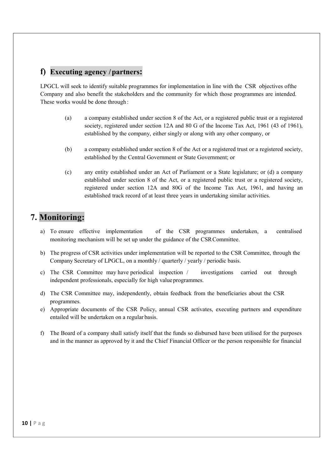### f) Executing agency / partners:

LPGCL will seek to identify suitable programmes for implementation in line with the CSR objectives of the Company and also benefit the stakeholders and the community for which those programmes are intended. These works would be done through :

- (a) a company established under section 8 of the Act, or a registered public trust or a registered society, registered under section 12A and 80 G of the Income Tax Act, 1961 (43 of 1961), established by the company, either singly or along with any other company, or
- (b) a company established under section 8 of the Act or a registered trust or a registered society, established by the Central Government or State Government; or
- (c) any entity established under an Act of Parliament or a State legislature; or (d) a company established under section 8 of the Act, or a registered public trust or a registered society, registered under section 12A and 80G of the Income Tax Act, 1961, and having an established track record of at least three years in undertaking similar activities.

## 7. Monitoring:

- a) To ensure effective implementation of the CSR programmes undertaken, a centralised monitoring mechanism will be set up under the guidance of the CSR Committee.
- b) The progress of CSR activities under implementation will be reported to the CSR Committee, through the Company Secretary of LPGCL, on a monthly / quarterly / yearly / periodic basis.
- c) The CSR Committee may have periodical inspection / investigations carried out through independent professionals, especially for high value programmes.
- d) The CSR Committee may, independently, obtain feedback from the beneficiaries about the CSR programmes.
- e) Appropriate documents of the CSR Policy, annual CSR activates, executing partners and expenditure entailed will be undertaken on a regular basis.
- f) The Board of a company shall satisfy itself that the funds so disbursed have been utilised for the purposes and in the manner as approved by it and the Chief Financial Officer or the person responsible for financial